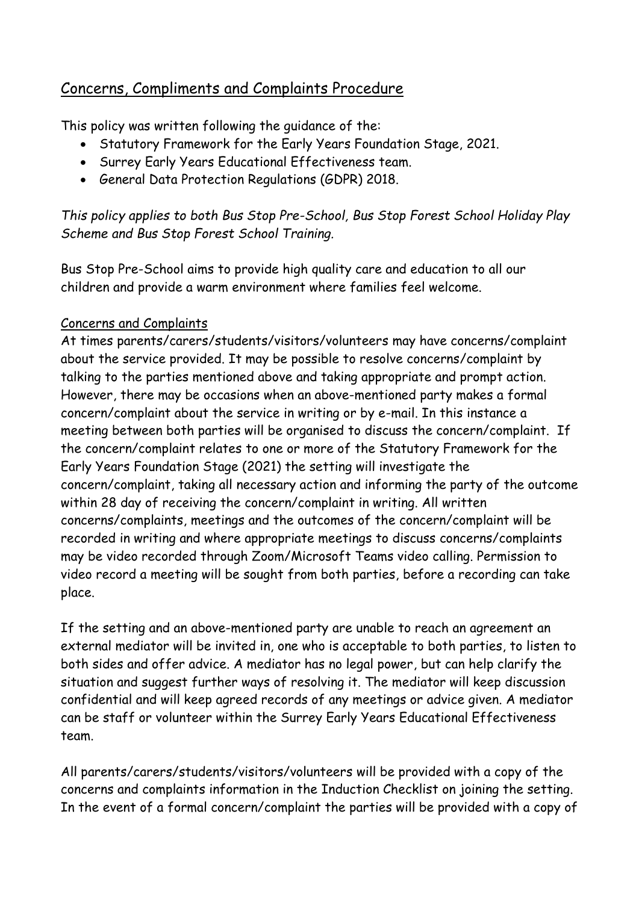## Concerns, Compliments and Complaints Procedure

This policy was written following the guidance of the:

- Statutory Framework for the Early Years Foundation Stage, 2021.
- Surrey Early Years Educational Effectiveness team.
- General Data Protection Regulations (GDPR) 2018.

## *This policy applies to both Bus Stop Pre-School, Bus Stop Forest School Holiday Play Scheme and Bus Stop Forest School Training.*

Bus Stop Pre-School aims to provide high quality care and education to all our children and provide a warm environment where families feel welcome.

## Concerns and Complaints

At times parents/carers/students/visitors/volunteers may have concerns/complaint about the service provided. It may be possible to resolve concerns/complaint by talking to the parties mentioned above and taking appropriate and prompt action. However, there may be occasions when an above-mentioned party makes a formal concern/complaint about the service in writing or by e-mail. In this instance a meeting between both parties will be organised to discuss the concern/complaint. If the concern/complaint relates to one or more of the Statutory Framework for the Early Years Foundation Stage (2021) the setting will investigate the concern/complaint, taking all necessary action and informing the party of the outcome within 28 day of receiving the concern/complaint in writing. All written concerns/complaints, meetings and the outcomes of the concern/complaint will be recorded in writing and where appropriate meetings to discuss concerns/complaints may be video recorded through Zoom/Microsoft Teams video calling. Permission to video record a meeting will be sought from both parties, before a recording can take place.

If the setting and an above-mentioned party are unable to reach an agreement an external mediator will be invited in, one who is acceptable to both parties, to listen to both sides and offer advice. A mediator has no legal power, but can help clarify the situation and suggest further ways of resolving it. The mediator will keep discussion confidential and will keep agreed records of any meetings or advice given. A mediator can be staff or volunteer within the Surrey Early Years Educational Effectiveness team.

All parents/carers/students/visitors/volunteers will be provided with a copy of the concerns and complaints information in the Induction Checklist on joining the setting. In the event of a formal concern/complaint the parties will be provided with a copy of